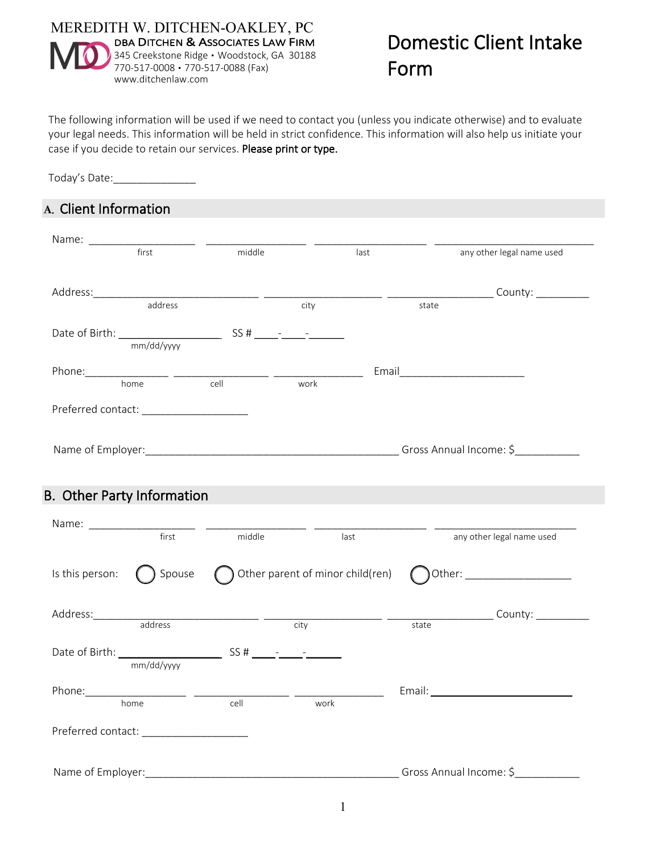

The following information will be used if we need to contact you (unless you indicate otherwise) and to evaluate your legal needs. This information will be held in strict confidence. This information will also help us initiate your case if you decide to retain our services. Please print or type.

Today's Date:\_\_\_\_\_\_\_\_\_\_\_\_\_\_

## **A**. Client Information

| first                                                                                                                                                         | middle |                                  | last  | any other legal name used |
|---------------------------------------------------------------------------------------------------------------------------------------------------------------|--------|----------------------------------|-------|---------------------------|
|                                                                                                                                                               |        |                                  |       |                           |
| address                                                                                                                                                       |        | city                             |       | state                     |
|                                                                                                                                                               |        |                                  |       |                           |
|                                                                                                                                                               |        |                                  |       |                           |
| $\begin{tabular}{l c c c} \hline \textbf{Phone:} & \textbf{} & \textbf{} & \textbf{} \\ \hline \textbf{home} & \textbf{} & \textbf{} \\ \hline \end{tabular}$ |        |                                  |       |                           |
|                                                                                                                                                               |        | work                             |       |                           |
| Preferred contact: _____________________                                                                                                                      |        |                                  |       |                           |
|                                                                                                                                                               |        |                                  |       |                           |
|                                                                                                                                                               |        |                                  |       |                           |
|                                                                                                                                                               |        |                                  |       |                           |
| <b>B.</b> Other Party Information                                                                                                                             |        |                                  |       |                           |
| first                                                                                                                                                         | middle | last                             |       | any other legal name used |
| Is this person:<br>Spouse                                                                                                                                     |        | Other parent of minor child(ren) |       |                           |
|                                                                                                                                                               |        |                                  |       |                           |
| Address: address and address and a city                                                                                                                       |        |                                  | state |                           |
|                                                                                                                                                               |        |                                  |       |                           |
| mm/dd/yyyy                                                                                                                                                    |        |                                  |       |                           |
|                                                                                                                                                               |        |                                  |       |                           |
|                                                                                                                                                               | cell   | work                             |       |                           |
| home                                                                                                                                                          |        |                                  |       |                           |
|                                                                                                                                                               |        |                                  |       |                           |
|                                                                                                                                                               |        |                                  |       |                           |
| Preferred contact: National Preferred<br>Name of Employer:                                                                                                    |        |                                  |       | Gross Annual Income: \$   |